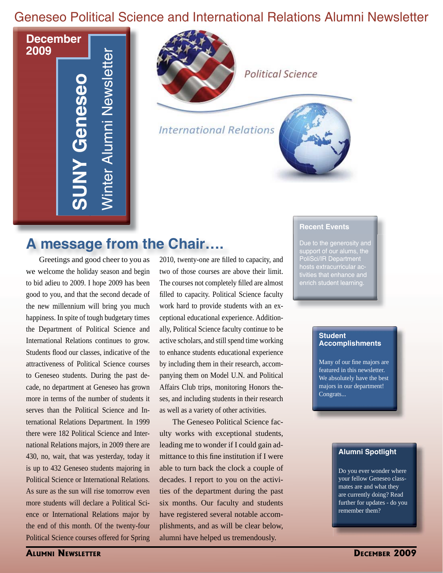# Geneseo Political Science and International Relations Alumni Newsletter

**December S U N Y G e n e s e o SUNY Geneseo** Win t e r Alu  $\mathsf E$ Z<br>Ei  $\mathbf \Phi$ w slette rWinter Alumni Newsletter

**2009**

**Political Science International Relations** 

# **A message from the Chair….**

Greetings and good cheer to you as 2010, twenty-one are fill we welcome the holiday season and begin to bid adieu to 2009. I hope 2009 has been good to you, and that the second decade of the new millennium will bring you much happiness. In spite of tough budgetary times the Department of Political Science and International Relations continues to grow. Students flood our classes, indicative of the attractiveness of Political Science courses to Geneseo students. During the past decade, no department at Geneseo has grown more in terms of the number of students it serves than the Political Science and International Relations Department. In 1999 there were 182 Political Science and International Relations majors, in 2009 there are 430, no, wait, that was yesterday, today it is up to 432 Geneseo students majoring in Political Science or International Relations. As sure as the sun will rise tomorrow even more students will declare a Political Science or International Relations major by the end of this month. Of the twenty-four Political Science courses offered for Spring

2010, twenty-one are filled to capacity, and two of those courses are above their limit. The courses not completely filled are almost filled to capacity. Political Science faculty work hard to provide students with an exceptional educational experience. Additionally, Political Science faculty continue to be active scholars, and still spend time working to enhance students educational experience by including them in their research, accompanying them on Model U.N. and Political Affairs Club trips, monitoring Honors theses, and including students in their research as well as a variety of other activities.

The Geneseo Political Science faculty works with exceptional students, leading me to wonder if I could gain admittance to this fine institution if I were able to turn back the clock a couple of decades. I report to you on the activities of the department during the past six months. Our faculty and students have registered several notable accomplishments, and as will be clear below, alumni have helped us tremendously.

#### **Recent Events**

Due to the generosity and support of our alums, the PoliSci/IR Department hosts extracurricular activities that enhance and enrich student learning.

#### **Student Accomplishments**

Many of our fine majors are featured in this newsletter. We absolutely have the best majors in our department! Congrats...

#### **Alumni Spotlight**

Do you ever wonder where your fellow Geneseo classmates are and what they are currently doing? Read further for updates - do you remember them?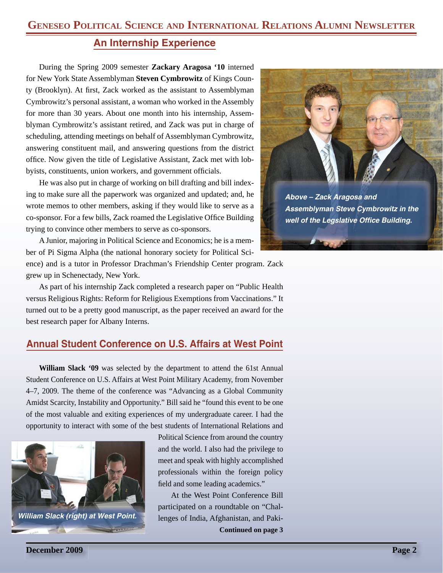# **An Internship Experience**

During the Spring 2009 semester **Zackary Aragosa '10** interned for New York State Assemblyman **Steven Cymbrowitz** of Kings County (Brooklyn). At first, Zack worked as the assistant to Assemblyman Cymbrowitz's personal assistant, a woman who worked in the Assembly for more than 30 years. About one month into his internship, Assemblyman Cymbrowitz's assistant retired, and Zack was put in charge of scheduling, attending meetings on behalf of Assemblyman Cymbrowitz, answering constituent mail, and answering questions from the district office. Now given the title of Legislative Assistant, Zack met with lobbyists, constituents, union workers, and government officials.

He was also put in charge of working on bill drafting and bill indexing to make sure all the paperwork was organized and updated; and, he wrote memos to other members, asking if they would like to serve as a co-sponsor. For a few bills, Zack roamed the Legislative Office Building trying to convince other members to serve as co-sponsors.

A Junior, majoring in Political Science and Economics; he is a member of Pi Sigma Alpha (the national honorary society for Political Sci-

ence) and is a tutor in Professor Drachman's Friendship Center program. Zack grew up in Schenectady, New York.

As part of his internship Zack completed a research paper on "Public Health versus Religious Rights: Reform for Religious Exemptions from Vaccinations." It turned out to be a pretty good manuscript, as the paper received an award for the best research paper for Albany Interns.

## **Annual Student Conference on U.S. Affairs at West Point**

**William Slack '09** was selected by the department to attend the 61st Annual Student Conference on U.S. Affairs at West Point Military Academy, from November 4–7, 2009. The theme of the conference was "Advancing as a Global Community Amidst Scarcity, Instability and Opportunity." Bill said he "found this event to be one of the most valuable and exiting experiences of my undergraduate career. I had the opportunity to interact with some of the best students of International Relations and



Political Science from around the country and the world. I also had the privilege to meet and speak with highly accomplished professionals within the foreign policy field and some leading academics."

**Continued on page 3** At the West Point Conference Bill participated on a roundtable on "Chal-



*Above – Zack Aragosa and Assemblyman Steve Cymbrowitz in the*  **well of the Legslative Office Building.**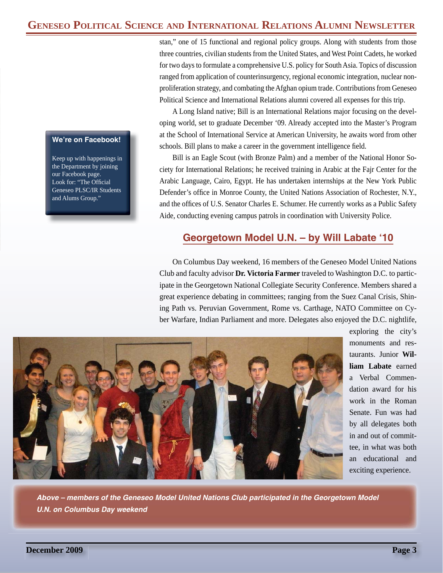## **GENESEO POLITICAL SCIENCE AND INTERNATIONAL RELATIONS ALUMNI NEWSLETTER**

#### **We're on Facebook!**

Keep up with happenings in the Department by joining our Facebook page. Look for: "The Official Geneseo PLSC/IR Students and Alums Group."

stan," one of 15 functional and regional policy groups. Along with students from those three countries, civilian students from the United States, and West Point Cadets, he worked for two days to formulate a comprehensive U.S. policy for South Asia. Topics of discussion ranged from application of counterinsurgency, regional economic integration, nuclear nonproliferation strategy, and combating the Afghan opium trade. Contributions from Geneseo Political Science and International Relations alumni covered all expenses for this trip.

A Long Island native; Bill is an International Relations major focusing on the developing world, set to graduate December '09. Already accepted into the Master's Program at the School of International Service at American University, he awaits word from other schools. Bill plans to make a career in the government intelligence field.

Bill is an Eagle Scout (with Bronze Palm) and a member of the National Honor Society for International Relations; he received training in Arabic at the Fajr Center for the Arabic Language, Cairo, Egypt. He has undertaken internships at the New York Public Defender's office in Monroe County, the United Nations Association of Rochester, N.Y., and the offices of U.S. Senator Charles E. Schumer. He currently works as a Public Safety Aide, conducting evening campus patrols in coordination with University Police.

### **Georgetown Model U.N. – by Will Labate '10**

On Columbus Day weekend, 16 members of the Geneseo Model United Nations Club and faculty advisor **Dr. Victoria Farmer** traveled to Washington D.C. to participate in the Georgetown National Collegiate Security Conference. Members shared a great experience debating in committees; ranging from the Suez Canal Crisis, Shining Path vs. Peruvian Government, Rome vs. Carthage, NATO Committee on Cyber Warfare, Indian Parliament and more. Delegates also enjoyed the D.C. nightlife,



exploring the city's monuments and restaurants. Junior **William Labate** earned a Verbal Commendation award for his work in the Roman Senate. Fun was had by all delegates both in and out of committee, in what was both an educational and exciting experience.

*Above – members of the Geneseo Model United Nations Club participated in the Georgetown Model U.N. on Columbus Day weekend*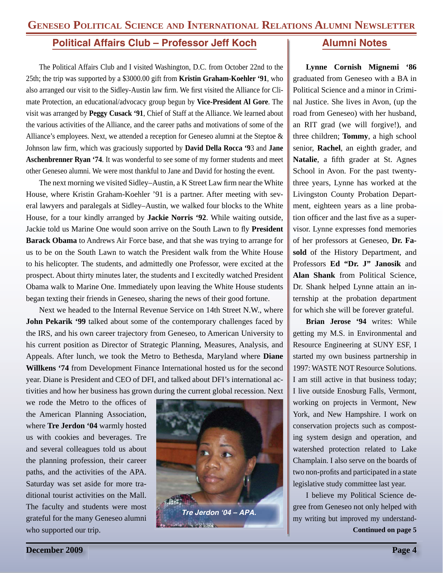## **Political Affairs Club – Professor Jeff Koch**

The Political Affairs Club and I visited Washington, D.C. from October 22nd to the 25th; the trip was supported by a \$3000.00 gift from **Kristin Graham-Koehler '91**, who also arranged our visit to the Sidley-Austin law firm. We first visited the Alliance for Climate Protection, an educational/advocacy group begun by **Vice-President Al Gore**. The visit was arranged by **Peggy Cusack '91**, Chief of Staff at the Alliance. We learned about the various activities of the Alliance, and the career paths and motivations of some of the Alliance's employees. Next, we attended a reception for Geneseo alumni at the Steptoe & Johnson law firm, which was graciously supported by **David Della Rocca '9**3 and **Jane Aschenbrenner Ryan '74**. It was wonderful to see some of my former students and meet other Geneseo alumni. We were most thankful to Jane and David for hosting the event.

The next morning we visited Sidley–Austin, a K Street Law firm near the White House, where Kristin Graham-Koehler '91 is a partner. After meeting with several lawyers and paralegals at Sidley–Austin, we walked four blocks to the White House, for a tour kindly arranged by **Jackie Norris '92**. While waiting outside, Jackie told us Marine One would soon arrive on the South Lawn to fly **President Barack Obama** to Andrews Air Force base, and that she was trying to arrange for us to be on the South Lawn to watch the President walk from the White House to his helicopter. The students, and admittedly one Professor, were excited at the prospect. About thirty minutes later, the students and I excitedly watched President Obama walk to Marine One. Immediately upon leaving the White House students began texting their friends in Geneseo, sharing the news of their good fortune.

Next we headed to the Internal Revenue Service on 14th Street N.W., where **John Pekarik '99** talked about some of the contemporary challenges faced by the IRS, and his own career trajectory from Geneseo, to American University to his current position as Director of Strategic Planning, Measures, Analysis, and Appeals. After lunch, we took the Metro to Bethesda, Maryland where **Diane Willkens '74** from Development Finance International hosted us for the second year. Diane is President and CEO of DFI, and talked about DFI's international activities and how her business has grown during the current global recession. Next

we rode the Metro to the offices of the American Planning Association, where **Tre Jerdon '04** warmly hosted us with cookies and beverages. Tre and several colleagues told us about the planning profession, their career paths, and the activities of the APA. Saturday was set aside for more traditional tourist activities on the Mall. The faculty and students were most grateful for the many Geneseo alumni who supported our trip.



#### **Alumni Notes**

**Lynne Cornish Mignemi '86**  graduated from Geneseo with a BA in Political Science and a minor in Criminal Justice. She lives in Avon, (up the road from Geneseo) with her husband, an RIT grad (we will forgive!), and three children; **Tommy**, a high school senior, **Rachel**, an eighth grader, and Natalie, a fifth grader at St. Agnes School in Avon. For the past twentythree years, Lynne has worked at the Livingston County Probation Department, eighteen years as a line probation officer and the last five as a supervisor. Lynne expresses fond memories of her professors at Geneseo, **Dr. Fasold** of the History Department, and Professors **Ed "Dr. J" Janosik** and **Alan Shank** from Political Science, Dr. Shank helped Lynne attain an internship at the probation department for which she will be forever grateful.

**Brian Jerose '94** writes: While getting my M.S. in Environmental and Resource Engineering at SUNY ESF, I started my own business partnership in 1997: WASTE NOT Resource Solutions. I am still active in that business today; I live outside Enosburg Falls, Vermont, working on projects in Vermont, New York, and New Hampshire. I work on conservation projects such as composting system design and operation, and watershed protection related to Lake Champlain. I also serve on the boards of two non-profits and participated in a state legislative study committee last year.

I believe my Political Science degree from Geneseo not only helped with my writing but improved my understand-**Continued on page 5**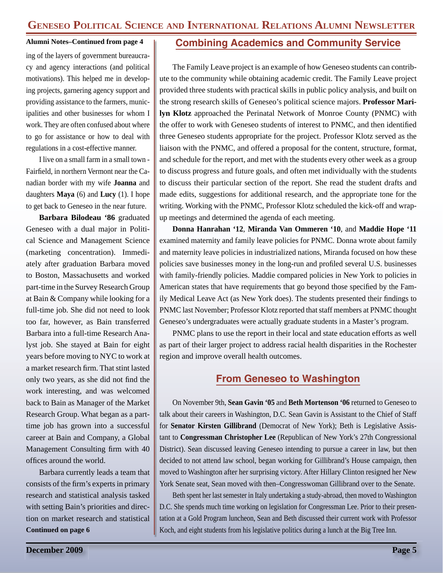#### **Alumni Notes–Continued from page 4**

ing of the layers of government bureaucracy and agency interactions (and political motivations). This helped me in developing projects, garnering agency support and providing assistance to the farmers, municipalities and other businesses for whom I work. They are often confused about where to go for assistance or how to deal with regulations in a cost-effective manner.

I live on a small farm in a small town - Fairfield, in northern Vermont near the Canadian border with my wife **Joanna** and daughters **Maya** (6) and **Lucy** (1). I hope to get back to Geneseo in the near future.

**Barbara Bilodeau '86** graduated Geneseo with a dual major in Political Science and Management Science (marketing concentration). Immediately after graduation Barbara moved to Boston, Massachusetts and worked part-time in the Survey Research Group at Bain & Company while looking for a full-time job. She did not need to look too far, however, as Bain transferred Barbara into a full-time Research Analyst job. She stayed at Bain for eight years before moving to NYC to work at a market research firm. That stint lasted only two years, as she did not find the work interesting, and was welcomed back to Bain as Manager of the Market Research Group. What began as a parttime job has grown into a successful career at Bain and Company, a Global Management Consulting firm with 40 offices around the world.

Barbara currently leads a team that consists of the firm's experts in primary research and statistical analysis tasked with setting Bain's priorities and direction on market research and statistical **Continued on page 6**

## **Combining Academics and Community Service**

The Family Leave project is an example of how Geneseo students can contribute to the community while obtaining academic credit. The Family Leave project provided three students with practical skills in public policy analysis, and built on the strong research skills of Geneseo's political science majors. **Professor Marilyn Klotz** approached the Perinatal Network of Monroe County (PNMC) with the offer to work with Geneseo students of interest to PNMC, and then identified three Geneseo students appropriate for the project. Professor Klotz served as the liaison with the PNMC, and offered a proposal for the content, structure, format, and schedule for the report, and met with the students every other week as a group to discuss progress and future goals, and often met individually with the students to discuss their particular section of the report. She read the student drafts and made edits, suggestions for additional research, and the appropriate tone for the writing. Working with the PNMC, Professor Klotz scheduled the kick-off and wrapup meetings and determined the agenda of each meeting.

**Donna Hanrahan '12**, **Miranda Van Ommeren '10**, and **Maddie Hope '11** examined maternity and family leave policies for PNMC. Donna wrote about family and maternity leave policies in industrialized nations, Miranda focused on how these policies save businesses money in the long-run and profiled several U.S. businesses with family-friendly policies. Maddie compared policies in New York to policies in American states that have requirements that go beyond those specified by the Family Medical Leave Act (as New York does). The students presented their findings to PNMC last November; Professor Klotz reported that staff members at PNMC thought Geneseo's undergraduates were actually graduate students in a Master's program.

PNMC plans to use the report in their local and state education efforts as well as part of their larger project to address racial health disparities in the Rochester region and improve overall health outcomes.

## **From Geneseo to Washington**

On November 9th, **Sean Gavin '05** and **Beth Mortenson '06** returned to Geneseo to talk about their careers in Washington, D.C. Sean Gavin is Assistant to the Chief of Staff for **Senator Kirsten Gillibrand** (Democrat of New York); Beth is Legislative Assistant to **Congressman Christopher Lee** (Republican of New York's 27th Congressional District). Sean discussed leaving Geneseo intending to pursue a career in law, but then decided to not attend law school, began working for Gillibrand's House campaign, then moved to Washington after her surprising victory. After Hillary Clinton resigned her New York Senate seat, Sean moved with then–Congresswoman Gillibrand over to the Senate.

Beth spent her last semester in Italy undertaking a study-abroad, then moved to Washington D.C. She spends much time working on legislation for Congressman Lee. Prior to their presentation at a Gold Program luncheon, Sean and Beth discussed their current work with Professor Koch, and eight students from his legislative politics during a lunch at the Big Tree Inn.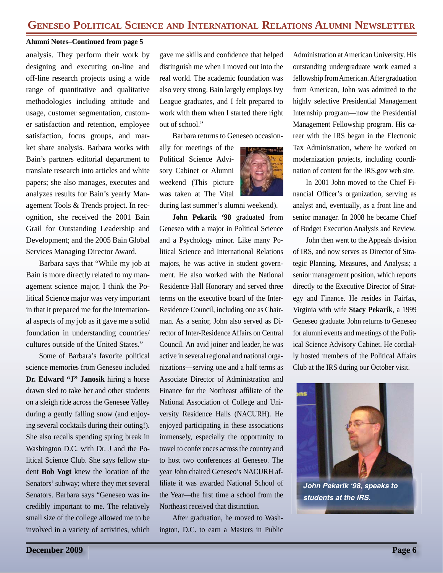#### **Alumni Notes–Continued from page 5**

analysis. They perform their work by designing and executing on-line and off-line research projects using a wide range of quantitative and qualitative methodologies including attitude and usage, customer segmentation, customer satisfaction and retention, employee satisfaction, focus groups, and market share analysis. Barbara works with Bain's partners editorial department to translate research into articles and white papers; she also manages, executes and analyzes results for Bain's yearly Management Tools & Trends project. In recognition, she received the 2001 Bain Grail for Outstanding Leadership and Development; and the 2005 Bain Global Services Managing Director Award.

Barbara says that "While my job at Bain is more directly related to my management science major, I think the Political Science major was very important in that it prepared me for the international aspects of my job as it gave me a solid foundation in understanding countries/ cultures outside of the United States."

Some of Barbara's favorite political science memories from Geneseo included **Dr. Edward "J" Janosik** hiring a horse drawn sled to take her and other students on a sleigh ride across the Genesee Valley during a gently falling snow (and enjoying several cocktails during their outing!). She also recalls spending spring break in Washington D.C. with Dr. J and the Political Science Club. She says fellow student **Bob Vogt** knew the location of the Senators' subway; where they met several Senators. Barbara says "Geneseo was incredibly important to me. The relatively small size of the college allowed me to be involved in a variety of activities, which gave me skills and confidence that helped distinguish me when I moved out into the real world. The academic foundation was also very strong. Bain largely employs Ivy League graduates, and I felt prepared to work with them when I started there right out of school."

Barbara returns to Geneseo occasion-

ally for meetings of the Political Science Advisory Cabinet or Alumni weekend (This picture was taken at The Vital



during last summer's alumni weekend).

**John Pekarik '98** graduated from Geneseo with a major in Political Science and a Psychology minor. Like many Political Science and International Relations majors, he was active in student government. He also worked with the National Residence Hall Honorary and served three terms on the executive board of the Inter-Residence Council, including one as Chairman. As a senior, John also served as Director of Inter-Residence Affairs on Central Council. An avid joiner and leader, he was active in several regional and national organizations—serving one and a half terms as Associate Director of Administration and Finance for the Northeast affiliate of the National Association of College and University Residence Halls (NACURH). He enjoyed participating in these associations immensely, especially the opportunity to travel to conferences across the country and to host two conferences at Geneseo. The year John chaired Geneseo's NACURH affiliate it was awarded National School of the Year—the first time a school from the Northeast received that distinction.

After graduation, he moved to Washington, D.C. to earn a Masters in Public

Administration at American University. His outstanding undergraduate work earned a fellowship from American. After graduation from American, John was admitted to the highly selective Presidential Management Internship program—now the Presidential Management Fellowship program. His career with the IRS began in the Electronic Tax Administration, where he worked on modernization projects, including coordination of content for the IRS.gov web site.

In 2001 John moved to the Chief Financial Officer's organization, serving as analyst and, eventually, as a front line and senior manager. In 2008 he became Chief of Budget Execution Analysis and Review.

John then went to the Appeals division of IRS, and now serves as Director of Strategic Planning, Measures, and Analysis; a senior management position, which reports directly to the Executive Director of Strategy and Finance. He resides in Fairfax, Virginia with wife **Stacy Pekarik**, a 1999 Geneseo graduate. John returns to Geneseo for alumni events and meetings of the Political Science Advisory Cabinet. He cordially hosted members of the Political Affairs Club at the IRS during our October visit.



*John Pekarik '98, speaks to students at the IRS.*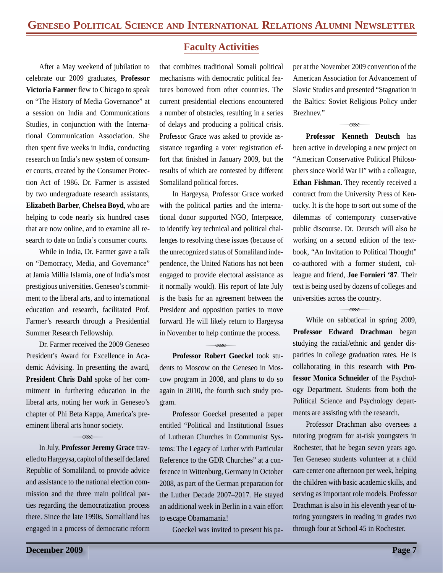After a May weekend of jubilation to celebrate our 2009 graduates, **Professor Victoria Farmer** flew to Chicago to speak on "The History of Media Governance" at a session on India and Communications Studies, in conjunction with the International Communication Association. She then spent five weeks in India, conducting research on India's new system of consumer courts, created by the Consumer Protection Act of 1986. Dr. Farmer is assisted by two undergraduate research assistants, **Elizabeth Barber**, **Chelsea Boyd**, who are helping to code nearly six hundred cases that are now online, and to examine all research to date on India's consumer courts.

While in India, Dr. Farmer gave a talk on "Democracy, Media, and Governance" at Jamia Millia Islamia, one of India's most prestigious universities. Geneseo's commitment to the liberal arts, and to international education and research, facilitated Prof. Farmer's research through a Presidential Summer Research Fellowship.

Dr. Farmer received the 2009 Geneseo President's Award for Excellence in Academic Advising. In presenting the award, **President Chris Dahl** spoke of her commitment in furthering education in the liberal arts, noting her work in Geneseo's chapter of Phi Beta Kappa, America's preeminent liberal arts honor society.

#### $\infty$

In July, **Professor Jeremy Grace** travelled to Hargeysa, capitol of the self declared Republic of Somaliland, to provide advice and assistance to the national election commission and the three main political parties regarding the democratization process there. Since the late 1990s, Somaliland has engaged in a process of democratic reform

#### **Faculty Activities**

that combines traditional Somali political mechanisms with democratic political features borrowed from other countries. The current presidential elections encountered a number of obstacles, resulting in a series of delays and producing a political crisis. Professor Grace was asked to provide assistance regarding a voter registration effort that finished in January 2009, but the results of which are contested by different Somaliland political forces.

In Hargeysa, Professor Grace worked with the political parties and the international donor supported NGO, Interpeace, to identify key technical and political challenges to resolving these issues (because of the unrecognized status of Somaliland independence, the United Nations has not been engaged to provide electoral assistance as it normally would). His report of late July is the basis for an agreement between the President and opposition parties to move forward. He will likely return to Hargeysa in November to help continue the process.

 $R$ 

**Professor Robert Goeckel** took students to Moscow on the Geneseo in Moscow program in 2008, and plans to do so again in 2010, the fourth such study program.

Professor Goeckel presented a paper entitled "Political and Institutional Issues of Lutheran Churches in Communist Systems: The Legacy of Luther with Particular Reference to the GDR Churches" at a conference in Wittenburg, Germany in October 2008, as part of the German preparation for the Luther Decade 2007–2017. He stayed an additional week in Berlin in a vain effort to escape Obamamania!

Goeckel was invited to present his pa-

per at the November 2009 convention of the American Association for Advancement of Slavic Studies and presented "Stagnation in the Baltics: Soviet Religious Policy under Brezhnev."

 $\overline{\alpha}$ 

**Professor Kenneth Deutsch** has been active in developing a new project on "American Conservative Political Philosophers since World War II" with a colleague, **Ethan Fishman**. They recently received a contract from the University Press of Kentucky. It is the hope to sort out some of the dilemmas of contemporary conservative public discourse. Dr. Deutsch will also be working on a second edition of the textbook, "An Invitation to Political Thought" co-authored with a former student, colleague and friend, **Joe Fornieri '87**. Their text is being used by dozens of colleges and universities across the country.

While on sabbatical in spring 2009, **Professor Edward Drachman** began studying the racial/ethnic and gender disparities in college graduation rates. He is collaborating in this research with **Professor Monica Schneider** of the Psychology Department. Students from both the Political Science and Psychology departments are assisting with the research.

 $R$ 

Professor Drachman also oversees a tutoring program for at-risk youngsters in Rochester, that he began seven years ago. Ten Geneseo students volunteer at a child care center one afternoon per week, helping the children with basic academic skills, and serving as important role models. Professor Drachman is also in his eleventh year of tutoring youngsters in reading in grades two through four at School 45 in Rochester.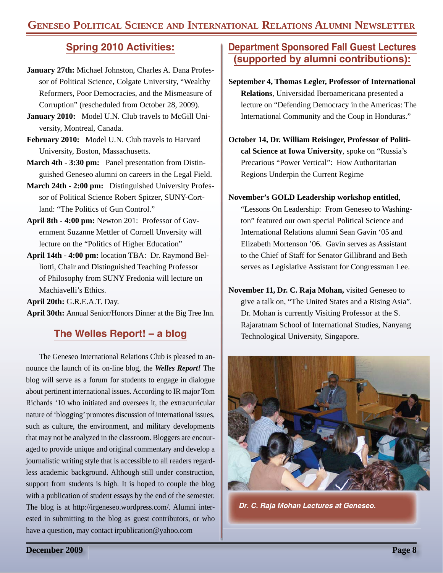# **Spring 2010 Activities:**

- **January 27th:** Michael Johnston, Charles A. Dana Professor of Political Science, Colgate University, "Wealthy Reformers, Poor Democracies, and the Mismeasure of Corruption" (rescheduled from October 28, 2009).
- **January 2010:** Model U.N. Club travels to McGill University, Montreal, Canada.
- **February 2010:** Model U.N. Club travels to Harvard University, Boston, Massachusetts.
- **March 4th 3:30 pm:** Panel presentation from Distinguished Geneseo alumni on careers in the Legal Field.
- **March 24th 2:00 pm:** Distinguished University Professor of Political Science Robert Spitzer, SUNY-Cortland: "The Politics of Gun Control."
- **April 8th 4:00 pm:** Newton 201: Professor of Government Suzanne Mettler of Cornell Unversity will lecture on the "Politics of Higher Education"
- **April 14th 4:00 pm:** location TBA: Dr. Raymond Belliotti, Chair and Distinguished Teaching Professor of Philosophy from SUNY Fredonia will lecture on Machiavelli's Ethics.

**April 20th:** G.R.E.A.T. Day.

**April 30th:** Annual Senior/Honors Dinner at the Big Tree Inn.

## **The Welles Report! – a blog**

The Geneseo International Relations Club is pleased to announce the launch of its on-line blog, the *Welles Report!* The blog will serve as a forum for students to engage in dialogue about pertinent international issues. According to IR major Tom Richards '10 who initiated and oversees it, the extracurricular nature of 'blogging' promotes discussion of international issues, such as culture, the environment, and military developments that may not be analyzed in the classroom. Bloggers are encouraged to provide unique and original commentary and develop a journalistic writing style that is accessible to all readers regardless academic background. Although still under construction, support from students is high. It is hoped to couple the blog with a publication of student essays by the end of the semester. The blog is at http://irgeneseo.wordpress.com/. Alumni interested in submitting to the blog as guest contributors, or who have a question, may contact irpublication@yahoo.com

## **Department Sponsored Fall Guest Lectures (supported by alumni contributions):**

- **September 4, Thomas Legler, Professor of International Relations**, Universidad Iberoamericana presented a lecture on "Defending Democracy in the Americas: The International Community and the Coup in Honduras."
- **October 14, Dr. William Reisinger, Professor of Political Science at Iowa University**, spoke on "Russia's Precarious "Power Vertical": How Authoritarian Regions Underpin the Current Regime

#### **November's GOLD Leadership workshop entitled**,

"Lessons On Leadership: From Geneseo to Washington" featured our own special Political Science and International Relations alumni Sean Gavin '05 and Elizabeth Mortenson '06. Gavin serves as Assistant to the Chief of Staff for Senator Gillibrand and Beth serves as Legislative Assistant for Congressman Lee.

**November 11, Dr. C. Raja Mohan,** visited Geneseo to give a talk on, "The United States and a Rising Asia". Dr. Mohan is currently Visiting Professor at the S. Rajaratnam School of International Studies, Nanyang Technological University, Singapore.



*Dr. C. Raja Mohan Lectures at Geneseo.*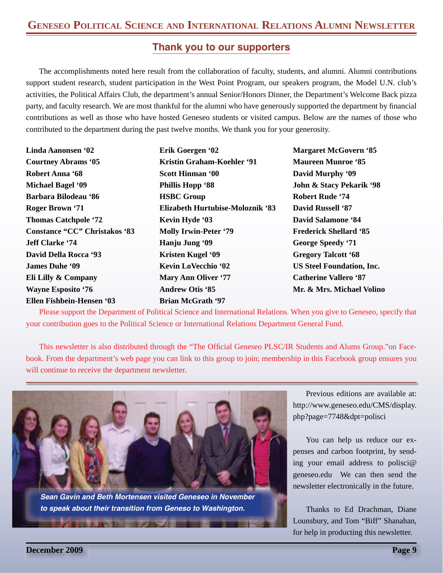## **Thank you to our supporters**

The accomplishments noted here result from the collaboration of faculty, students, and alumni. Alumni contributions support student research, student participation in the West Point Program, our speakers program, the Model U.N. club's activities, the Political Affairs Club, the department's annual Senior/Honors Dinner, the Department's Welcome Back pizza party, and faculty research. We are most thankful for the alumni who have generously supported the department by financial contributions as well as those who have hosted Geneseo students or visited campus. Below are the names of those who contributed to the department during the past twelve months. We thank you for your generosity.

| <b>Linda Aanonsen '02</b>            | Erik Goergen '02                 | Marg         |
|--------------------------------------|----------------------------------|--------------|
| <b>Courtney Abrams '05</b>           | Kristin Graham-Koehler '91       | <b>Maur</b>  |
| <b>Robert Anna '68</b>               | <b>Scott Hinman '00</b>          | David        |
| Michael Bagel '09                    | <b>Phillis Hopp '88</b>          | John         |
| Barbara Bilodeau '86                 | <b>HSBC</b> Group                | <b>Robe</b>  |
| Roger Brown '71                      | Elizabeth Hurtubise-Moloznik '83 | David        |
| <b>Thomas Catchpole '72</b>          | Kevin Hyde '03                   | David        |
| <b>Constance "CC" Christakos '83</b> | <b>Molly Irwin-Peter '79</b>     | Frede        |
| <b>Jeff Clarke '74</b>               | Hanju Jung '09                   | Georg        |
| <b>David Della Rocca '93</b>         | <b>Kristen Kugel '09</b>         | Grego        |
| <b>James Duhe '09</b>                | <b>Kevin LoVecchio '02</b>       | <b>US St</b> |
| Eli Lilly & Company                  | <b>Mary Ann Oliver '77</b>       | Catho        |
| <b>Wayne Esposito '76</b>            | <b>Andrew Otis '85</b>           | Mr. $8$      |
| Ellen Fishbein-Hensen '03            | <b>Brian McGrath '97</b>         |              |

**Margaret McGovern '85 Maureen Munroe '85 d** Murphy '09 **John & Stacy Pekarik '98 Robert Rude '74 d** Russell '87 **d Salamone '84 Frick Shellard '85** ge Speedy '71 **Gry Talcott '68 The Steel Foundation, Inc. Callero '87<sup>**</sup> **Mr. & Mrs. Michael Volino**

Please support the Department of Political Science and International Relations. When you give to Geneseo, specify that your contribution goes to the Political Science or International Relations Department General Fund.

This newsletter is also distributed through the "The Official Geneseo PLSC/IR Students and Alums Group." on Facebook. From the department's web page you can link to this group to join; membership in this Facebook group ensures you will continue to receive the department newsletter.



*Sean Gavin and Beth Mortensen visited Geneseo in November to speak about their transition from Geneso to Washington.*

Previous editions are available at: http://www.geneseo.edu/CMS/display. php?page=7748&dpt=polisci

You can help us reduce our expenses and carbon footprint, by sending your email address to polisci@ geneseo.edu We can then send the newsletter electronically in the future.

Thanks to Ed Drachman, Diane Lounsbury, and Tom "Biff" Shanahan, for help in producting this newsletter.